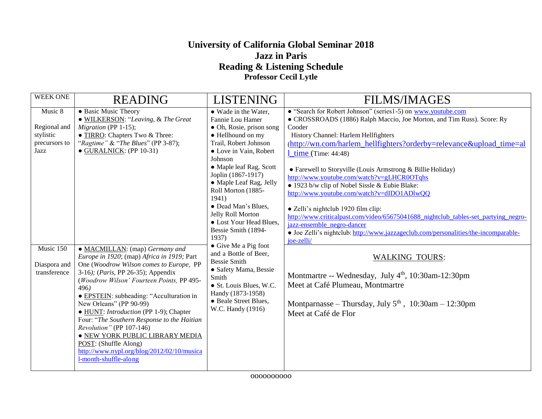## **University of California Global Seminar 2018 Jazz in Paris Reading & Listening Schedule Professor Cecil Lytle**

| <b>WEEK ONE</b>                                                                                            | <b>READING</b>                                                                                                                                                                                                                                                                                                                                                                                                                                                                                                                                                                                                                                                                                                                                              | <b>LISTENING</b>                                                                                                                                                                                                                                                                                                                                                                                                                                                                                                                                                                  | <b>FILMS/IMAGES</b>                                                                                                                                                                                                                                                                                                                                                                                                                                                                                                                                                                                                                                                                                                                                                                                                                                                                                                                                                                         |
|------------------------------------------------------------------------------------------------------------|-------------------------------------------------------------------------------------------------------------------------------------------------------------------------------------------------------------------------------------------------------------------------------------------------------------------------------------------------------------------------------------------------------------------------------------------------------------------------------------------------------------------------------------------------------------------------------------------------------------------------------------------------------------------------------------------------------------------------------------------------------------|-----------------------------------------------------------------------------------------------------------------------------------------------------------------------------------------------------------------------------------------------------------------------------------------------------------------------------------------------------------------------------------------------------------------------------------------------------------------------------------------------------------------------------------------------------------------------------------|---------------------------------------------------------------------------------------------------------------------------------------------------------------------------------------------------------------------------------------------------------------------------------------------------------------------------------------------------------------------------------------------------------------------------------------------------------------------------------------------------------------------------------------------------------------------------------------------------------------------------------------------------------------------------------------------------------------------------------------------------------------------------------------------------------------------------------------------------------------------------------------------------------------------------------------------------------------------------------------------|
| Music 8<br>Regional and<br>stylistic<br>precursors to<br>Jazz<br>Music 150<br>Diaspora and<br>transference | • Basic Music Theory<br>• WILKERSON: "Leaving, & The Great<br>Migration (PP 1-15);<br>• TIRRO: Chapters Two & Three:<br>"Ragtime" & "The Blues" (PP 3-87);<br>$\bullet$ GURALNICK: (PP 10-31)<br>• MACMILLAN: (map) Germany and<br>Europe in 1920; (map) Africa in 1919; Part<br>One (Woodrow Wilson comes to Europe, PP<br>3-16); ( <i>Paris</i> , PP 26-35); Appendix<br>(Woodrow Wilson' Fourteen Points, PP 495-<br>496)<br>• EPSTEIN: subheading: "Acculturation in<br>New Orleans" (PP 90-99)<br>• HUNT: Introduction (PP 1-9); Chapter<br>Four: "The Southern Response to the Haitian<br>Revolution" (PP 107-146)<br>. NEW YORK PUBLIC LIBRARY MEDIA<br>POST: (Shuffle Along)<br>http://www.nypl.org/blog/2012/02/10/musica<br>l-month-shuffle-along | • Wade in the Water,<br>Fannie Lou Hamer<br>• Oh, Rosie, prison song<br>• Hellhound on my<br>Trail, Robert Johnson<br>• Love in Vain, Robert<br>Johnson<br>• Maple leaf Rag, Scott<br>Joplin (1867-1917)<br>• Maple Leaf Rag, Jelly<br>Roll Morton (1885-<br>1941)<br>• Dead Man's Blues,<br>Jelly Roll Morton<br>• Lost Your Head Blues,<br>Bessie Smith (1894-<br>1937)<br>• Give Me a Pig foot<br>and a Bottle of Beer,<br><b>Bessie Smith</b><br>· Safety Mama, Bessie<br>Smith<br>• St. Louis Blues, W.C.<br>Handy (1873-1958)<br>• Beale Street Blues,<br>W.C. Handy (1916) | • "Search for Robert Johnson" (series1-5) on www.youtube.com<br>• CROSSROADS (1886) Ralph Maccio, Joe Morton, and Tim Russ). Score: Ry<br>Cooder<br>History Channel: Harlem Hellfighters<br>(http://wn.com/harlem_hellfighters?orderby=relevance&upload_time=al<br>$1 \times (Time: 44:48)$<br>• Farewell to Storyville (Louis Armstrong & Billie Holiday)<br>http://www.youtube.com/watch?v=gLHCR0OTqhs<br>• 1923 b/w clip of Nobel Sissle & Eubie Blake:<br>http://www.youtube.com/watch?v=dIDO1ADlwQQ<br>• Zelli's nightclub 1920 film clip:<br>http://www.criticalpast.com/video/65675041688_nightclub_tables-set_partying_negro-<br>jazz-ensemble negro-dancer<br>• Joe Zelli's nightclub: http://www.jazzageclub.com/personalities/the-incomparable-<br>joe-zelli/<br><b>WALKING TOURS:</b><br>Montmartre -- Wednesday, July 4 <sup>th</sup> , 10:30am-12:30pm<br>Meet at Café Plumeau, Montmartre<br>Montparnasse – Thursday, July $5th$ , 10:30am – 12:30pm<br>Meet at Café de Flor |
|                                                                                                            |                                                                                                                                                                                                                                                                                                                                                                                                                                                                                                                                                                                                                                                                                                                                                             |                                                                                                                                                                                                                                                                                                                                                                                                                                                                                                                                                                                   |                                                                                                                                                                                                                                                                                                                                                                                                                                                                                                                                                                                                                                                                                                                                                                                                                                                                                                                                                                                             |

oooooooooo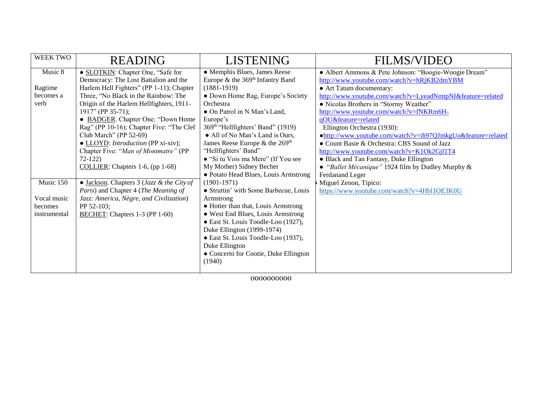| <b>WEEK TWO</b> | <b>READING</b>                                                | <b>LISTENING</b>                              | <b>FILMS/VIDEO</b>                                          |
|-----------------|---------------------------------------------------------------|-----------------------------------------------|-------------------------------------------------------------|
| Music 8         | • SLOTKIN: Chapter One, "Safe for                             | • Memphis Blues, James Reese                  | · Albert Ammons & Pete Johnson: "Boogie-Woogie Dream"       |
|                 | Democracy: The Lost Battalion and the                         | Europe & the 369 <sup>th</sup> Infantry Band  | http://www.youtube.com/watch?v=hRjKB2dmYBM                  |
| Ragtime         | Harlem Hell Fighters" (PP 1-11); Chapter                      | $(1881-1919)$                                 | • Art Tatum documentary:                                    |
| becomes a       | Three, "No Black in the Rainbow: The                          | • Down Home Rag, Europe's Society             | http://www.youtube.com/watch?v=LyeadNmtpNI&feature=related  |
| verb            | Origin of the Harlem Hellfighters, 1911-                      | Orchestra                                     | · Nicolas Brothers in "Stormy Weather"                      |
|                 | $1917$ " (PP 35-71);                                          | • On Patrol in N Man's Land,                  | http://www.youtube.com/watch?v=fNKRm6H-                     |
|                 | • BADGER. Chapter One: "Down Home                             | Europe's                                      | qOU&feature=related                                         |
|                 | Rag" (PP 10-16); Chapter Five: "The Clef                      | 369 <sup>th</sup> "Hellfighters' Band" (1919) | Ellington Orchestra (1930):                                 |
|                 | Club March" (PP 52-69)                                        | • All of No Man's Land is Ours,               | •http://www.youtube.com/watch?v=ih97QJmkgUo&feature=related |
|                 | • LLOYD: Introduction (PP xi-xiv);                            | James Reese Europe & the 269 <sup>th</sup>    | • Count Basie & Orchestra: CBS Sound of Jazz                |
|                 | Chapter Five: "Man of Montmatre" (PP                          | "Hellfighters' Band"                          | http://www.youtube.com/watch?v=K1Ok2Gjf1T4                  |
|                 | $72 - 122$                                                    | • "Si tu Vois ma Mere" (If You see            | • Black and Tan Fantasy, Duke Ellington                     |
|                 | COLLIER: Chapters 1-6, (pp 1-68)                              | My Mother) Sidney Bechet                      | • "Ballet Mécanique" 1924 film by Dudley Murphy &           |
|                 |                                                               | · Potato Head Blues, Louis Armstrong          | Ferdanand Leger                                             |
| Music 150       | $\bullet$ Jackson. Chapters 3 ( <i>Jazz &amp; the City of</i> | $(1901-1971)$                                 | Miguel Zenon, Tipico:                                       |
|                 | Paris) and Chapter 4 (The Meaning of                          | • Struttin' with Some Barbecue, Louis         | https://www.youtube.com/watch?v=4Hbl1OE3K0U                 |
| Vocal music     | Jazz: America, Nègre, and Civilization)                       | Armstrong                                     |                                                             |
| becomes         | PP 52-103;                                                    | • Hotter than that, Louis Armstrong           |                                                             |
| instrumental    | <b>BECHET:</b> Chapters 1-3 (PP 1-60)                         | • West End Blues, Louis Armstrong             |                                                             |
|                 |                                                               | • East St. Louis Toodle-Loo (1927),           |                                                             |
|                 |                                                               | Duke Ellington (1999-1974)                    |                                                             |
|                 |                                                               | • East St. Louis Toodle-Loo (1937),           |                                                             |
|                 |                                                               | Duke Ellington                                |                                                             |
|                 |                                                               | • Concerto for Cootie, Duke Ellington         |                                                             |
|                 |                                                               | (1940)                                        |                                                             |
|                 |                                                               |                                               |                                                             |

oooooooooo